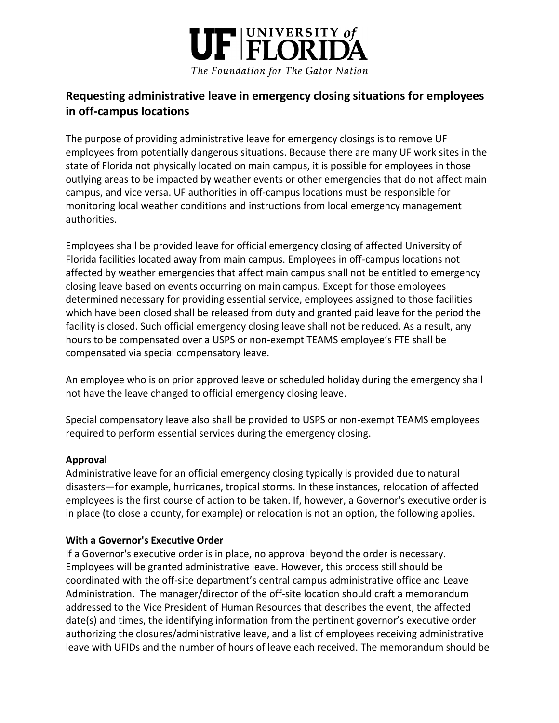

# **Requesting administrative leave in emergency closing situations for employees in off-campus locations**

The purpose of providing administrative leave for emergency closings is to remove UF employees from potentially dangerous situations. Because there are many UF work sites in the state of Florida not physically located on main campus, it is possible for employees in those outlying areas to be impacted by weather events or other emergencies that do not affect main campus, and vice versa. UF authorities in off-campus locations must be responsible for monitoring local weather conditions and instructions from local emergency management authorities.

Employees shall be provided leave for official emergency closing of affected University of Florida facilities located away from main campus. Employees in off-campus locations not affected by weather emergencies that affect main campus shall not be entitled to emergency closing leave based on events occurring on main campus. Except for those employees determined necessary for providing essential service, employees assigned to those facilities which have been closed shall be released from duty and granted paid leave for the period the facility is closed. Such official emergency closing leave shall not be reduced. As a result, any hours to be compensated over a USPS or non-exempt TEAMS employee's FTE shall be compensated via special compensatory leave.

An employee who is on prior approved leave or scheduled holiday during the emergency shall not have the leave changed to official emergency closing leave.

Special compensatory leave also shall be provided to USPS or non-exempt TEAMS employees required to perform essential services during the emergency closing.

## **Approval**

Administrative leave for an official emergency closing typically is provided due to natural disasters—for example, hurricanes, tropical storms. In these instances, relocation of affected employees is the first course of action to be taken. If, however, a Governor's executive order is in place (to close a county, for example) or relocation is not an option, the following applies.

#### **With a Governor's Executive Order**

If a Governor's executive order is in place, no approval beyond the order is necessary. Employees will be granted administrative leave. However, this process still should be coordinated with the off-site department's central campus administrative office and Leave Administration. The manager/director of the off-site location should craft a memorandum addressed to the Vice President of Human Resources that describes the event, the affected date(s) and times, the identifying information from the pertinent governor's executive order authorizing the closures/administrative leave, and a list of employees receiving administrative leave with UFIDs and the number of hours of leave each received. The memorandum should be